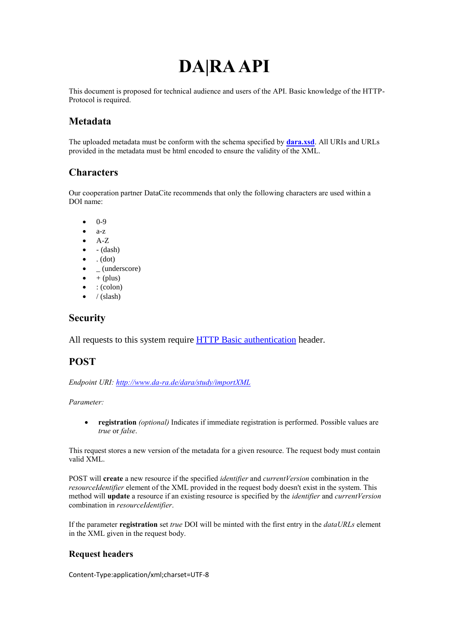# **DA|RA API**

This document is proposed for technical audience and users of the API. Basic knowledge of the HTTP-Protocol is required.

# **Metadata**

The uploaded metadata must be conform with the schema specified by **[dara.xsd](http://www.da-ra.de/en/technical-information/doi-registration/)**. All URIs and URLs provided in the metadata must be html encoded to ensure the validity of the XML.

## **Characters**

Our cooperation partner DataCite recommends that only the following characters are used within a DOI name:

- 0-9
- a-z
- $A-Z$
- $\bullet$  (dash)
- $\bullet$  . (dot)
- \_ (underscore)
- $+$  (plus)
- : (colon)
- $\bullet$  / (slash)

## **Security**

All requests to this system require [HTTP Basic authentication](http://en.wikipedia.org/wiki/Basic_access_authentication) header.

# **POST**

*Endpoint URI[: http://www.da-ra.de/dara/study/importXML](http://www.da-ra.de/dara/study/importXML)*

*Parameter:*

 **registration** *(optional)* Indicates if immediate registration is performed. Possible values are *true* or *false*.

This request stores a new version of the metadata for a given resource. The request body must contain valid XML.

POST will **create** a new resource if the specified *identifier* and *currentVersion* combination in the *resourceIdentifier* element of the XML provided in the request body doesn't exist in the system. This method will **update** a resource if an existing resource is specified by the *identifier* and *currentVersion* combination in *resourceIdentifier*.

If the parameter **registration** set *true* DOI will be minted with the first entry in the *dataURLs* element in the XML given in the request body.

### **Request headers**

Content-Type:application/xml;charset=UTF-8